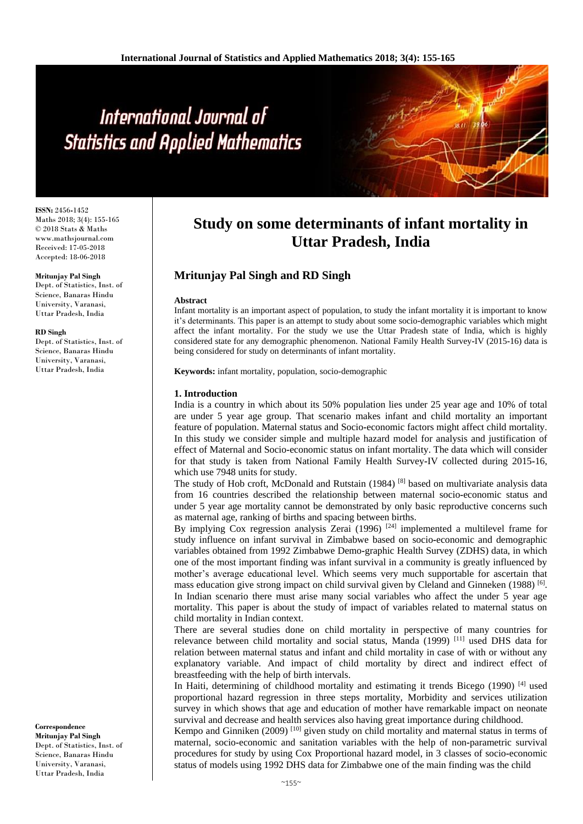# International Journal of **Statistics and Applied Mathematics**

**ISSN:** 2456**-**1452 Maths 2018; 3(4): 155-165 © 2018 Stats & Maths www.mathsjournal.com Received: 17-05-2018 Accepted: 18-06-2018

#### **Mritunjay Pal Singh**

Dept. of Statistics, Inst. of Science, Banaras Hindu University, Varanasi, Uttar Pradesh, India

#### **RD Singh**

Dept. of Statistics, Inst. of Science, Banaras Hindu University, Varanasi, Uttar Pradesh, India

### **Correspondence**

**Mritunjay Pal Singh** Dept. of Statistics, Inst. of Science, Banaras Hindu University, Varanasi, Uttar Pradesh, India

# **Study on some determinants of infant mortality in Uttar Pradesh, India**

## **Mritunjay Pal Singh and RD Singh**

#### **Abstract**

Infant mortality is an important aspect of population, to study the infant mortality it is important to know it's determinants. This paper is an attempt to study about some socio**-**demographic variables which might affect the infant mortality. For the study we use the Uttar Pradesh state of India, which is highly considered state for any demographic phenomenon. National Family Health Survey**-**IV (2015**-**16) data is being considered for study on determinants of infant mortality.

**Keywords:** infant mortality, population, socio-demographic

#### **1. Introduction**

India is a country in which about its 50% population lies under 25 year age and 10% of total are under 5 year age group. That scenario makes infant and child mortality an important feature of population. Maternal status and Socio**-**economic factors might affect child mortality. In this study we consider simple and multiple hazard model for analysis and justification of effect of Maternal and Socio**-**economic status on infant mortality. The data which will consider for that study is taken from National Family Health Survey**-**IV collected during 2015**-**16, which use 7948 units for study.

The study of Hob croft, McDonald and Rutstain  $(1984)$ <sup>[8]</sup> based on multivariate analysis data from 16 countries described the relationship between maternal socio**-**economic status and under 5 year age mortality cannot be demonstrated by only basic reproductive concerns such as maternal age, ranking of births and spacing between births.

By implying  $\cos$  regression analysis Zerai (1996) <sup>[24]</sup> implemented a multilevel frame for study influence on infant survival in Zimbabwe based on socio**-**economic and demographic variables obtained from 1992 Zimbabwe Demo**-**graphic Health Survey (ZDHS) data, in which one of the most important finding was infant survival in a community is greatly influenced by mother's average educational level. Which seems very much supportable for ascertain that mass education give strong impact on child survival given by Cleland and Ginneken (1988)<sup>[6]</sup>. In Indian scenario there must arise many social variables who affect the under 5 year age mortality. This paper is about the study of impact of variables related to maternal status on child mortality in Indian context.

There are several studies done on child mortality in perspective of many countries for relevance between child mortality and social status, Manda (1999) [11] used DHS data for relation between maternal status and infant and child mortality in case of with or without any explanatory variable. And impact of child mortality by direct and indirect effect of breastfeeding with the help of birth intervals.

In Haiti, determining of childhood mortality and estimating it trends Bicego  $(1990)$  [4] used proportional hazard regression in three steps mortality, Morbidity and services utilization survey in which shows that age and education of mother have remarkable impact on neonate survival and decrease and health services also having great importance during childhood.

Kempo and Ginniken (2009)<sup>[10]</sup> given study on child mortality and maternal status in terms of maternal, socio**-**economic and sanitation variables with the help of non**-**parametric survival procedures for study by using Cox Proportional hazard model, in 3 classes of socio**-**economic status of models using 1992 DHS data for Zimbabwe one of the main finding was the child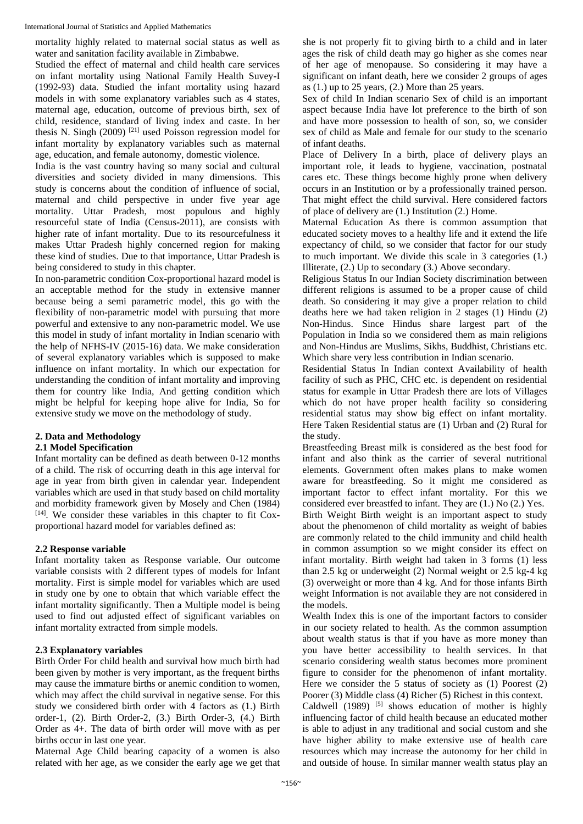International Journal of Statistics and Applied Mathematics

mortality highly related to maternal social status as well as water and sanitation facility available in Zimbabwe.

Studied the effect of maternal and child health care services on infant mortality using National Family Health Suvey**-**I (1992**-**93) data. Studied the infant mortality using hazard models in with some explanatory variables such as 4 states, maternal age, education, outcome of previous birth, sex of child, residence, standard of living index and caste. In her thesis N. Singh  $(2009)$ <sup>[21]</sup> used Poisson regression model for infant mortality by explanatory variables such as maternal age, education, and female autonomy, domestic violence.

India is the vast country having so many social and cultural diversities and society divided in many dimensions. This study is concerns about the condition of influence of social, maternal and child perspective in under five year age mortality. Uttar Pradesh, most populous and highly resourceful state of India (Census**-**2011), are consists with higher rate of infant mortality. Due to its resourcefulness it makes Uttar Pradesh highly concerned region for making these kind of studies. Due to that importance, Uttar Pradesh is being considered to study in this chapter.

In non**-**parametric condition Cox**-**proportional hazard model is an acceptable method for the study in extensive manner because being a semi parametric model, this go with the flexibility of non**-**parametric model with pursuing that more powerful and extensive to any non**-**parametric model. We use this model in study of infant mortality in Indian scenario with the help of NFHS**-**IV (2015**-**16) data. We make consideration of several explanatory variables which is supposed to make influence on infant mortality. In which our expectation for understanding the condition of infant mortality and improving them for country like India, And getting condition which might be helpful for keeping hope alive for India, So for extensive study we move on the methodology of study.

## **2. Data and Methodology**

## **2.1 Model Specification**

Infant mortality can be defined as death between 0**-**12 months of a child. The risk of occurring death in this age interval for age in year from birth given in calendar year. Independent variables which are used in that study based on child mortality and morbidity framework given by Mosely and Chen (1984) [14] . We consider these variables in this chapter to fit Coxproportional hazard model for variables defined as:

## **2.2 Response variable**

Infant mortality taken as Response variable. Our outcome variable consists with 2 different types of models for Infant mortality. First is simple model for variables which are used in study one by one to obtain that which variable effect the infant mortality significantly. Then a Multiple model is being used to find out adjusted effect of significant variables on infant mortality extracted from simple models.

## **2.3 Explanatory variables**

Birth Order For child health and survival how much birth had been given by mother is very important, as the frequent births may cause the immature births or anemic condition to women, which may affect the child survival in negative sense. For this study we considered birth order with 4 factors as (1.) Birth order**-**1, (2). Birth Order**-**2, (3.) Birth Order**-**3, (4.) Birth Order as 4+. The data of birth order will move with as per births occur in last one year.

Maternal Age Child bearing capacity of a women is also related with her age, as we consider the early age we get that she is not properly fit to giving birth to a child and in later ages the risk of child death may go higher as she comes near of her age of menopause. So considering it may have a significant on infant death, here we consider 2 groups of ages as  $(1.)$  up to 25 years,  $(2.)$  More than 25 years.

Sex of child In Indian scenario Sex of child is an important aspect because India have lot preference to the birth of son and have more possession to health of son, so, we consider sex of child as Male and female for our study to the scenario of infant deaths.

Place of Delivery In a birth, place of delivery plays an important role, it leads to hygiene, vaccination, postnatal cares etc. These things become highly prone when delivery occurs in an Institution or by a professionally trained person. That might effect the child survival. Here considered factors of place of delivery are (1.) Institution (2.) Home.

Maternal Education As there is common assumption that educated society moves to a healthy life and it extend the life expectancy of child, so we consider that factor for our study to much important. We divide this scale in 3 categories (1.) Illiterate, (2.) Up to secondary (3.) Above secondary.

Religious Status In our Indian Society discrimination between different religions is assumed to be a proper cause of child death. So considering it may give a proper relation to child deaths here we had taken religion in 2 stages (1) Hindu (2) Non**-**Hindus. Since Hindus share largest part of the Population in India so we considered them as main religions and Non**-**Hindus are Muslims, Sikhs, Buddhist, Christians etc. Which share very less contribution in Indian scenario.

Residential Status In Indian context Availability of health facility of such as PHC, CHC etc. is dependent on residential status for example in Uttar Pradesh there are lots of Villages which do not have proper health facility so considering residential status may show big effect on infant mortality. Here Taken Residential status are (1) Urban and (2) Rural for the study.

Breastfeeding Breast milk is considered as the best food for infant and also think as the carrier of several nutritional elements. Government often makes plans to make women aware for breastfeeding. So it might me considered as important factor to effect infant mortality. For this we considered ever breastfed to infant. They are (1.) No (2.) Yes. Birth Weight Birth weight is an important aspect to study about the phenomenon of child mortality as weight of babies are commonly related to the child immunity and child health in common assumption so we might consider its effect on infant mortality. Birth weight had taken in 3 forms (1) less than 2.5 kg or underweight (2) Normal weight or 2.5 kg**-**4 kg (3) overweight or more than 4 kg. And for those infants Birth weight Information is not available they are not considered in the models.

Wealth Index this is one of the important factors to consider in our society related to health. As the common assumption about wealth status is that if you have as more money than you have better accessibility to health services. In that scenario considering wealth status becomes more prominent figure to consider for the phenomenon of infant mortality. Here we consider the 5 status of society as (1) Poorest (2) Poorer (3) Middle class (4) Richer (5) Richest in this context. Caldwell  $(1989)$ <sup>[5]</sup> shows education of mother is highly influencing factor of child health because an educated mother is able to adjust in any traditional and social custom and she have higher ability to make extensive use of health care resources which may increase the autonomy for her child in and outside of house. In similar manner wealth status play an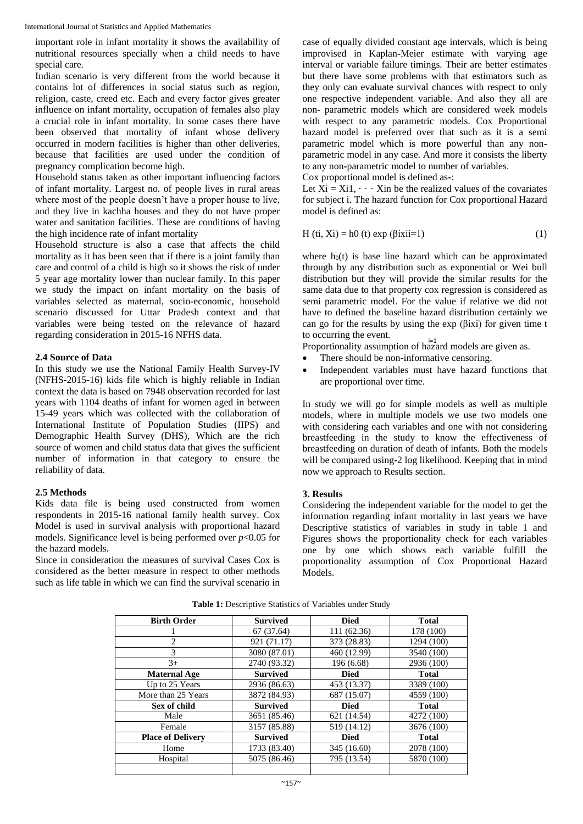important role in infant mortality it shows the availability of nutritional resources specially when a child needs to have special care.

Indian scenario is very different from the world because it contains lot of differences in social status such as region, religion, caste, creed etc. Each and every factor gives greater influence on infant mortality, occupation of females also play a crucial role in infant mortality. In some cases there have been observed that mortality of infant whose delivery occurred in modern facilities is higher than other deliveries, because that facilities are used under the condition of pregnancy complication become high.

Household status taken as other important influencing factors of infant mortality. Largest no. of people lives in rural areas where most of the people doesn't have a proper house to live, and they live in kachha houses and they do not have proper water and sanitation facilities. These are conditions of having the high incidence rate of infant mortality

Household structure is also a case that affects the child mortality as it has been seen that if there is a joint family than care and control of a child is high so it shows the risk of under 5 year age mortality lower than nuclear family. In this paper we study the impact on infant mortality on the basis of variables selected as maternal, socio**-**economic, household scenario discussed for Uttar Pradesh context and that variables were being tested on the relevance of hazard regarding consideration in 2015**-**16 NFHS data.

#### **2.4 Source of Data**

In this study we use the National Family Health Survey**-**IV (NFHS**-**2015**-**16) kids file which is highly reliable in Indian context the data is based on 7948 observation recorded for last years with 1104 deaths of infant for women aged in between 15**-**49 years which was collected with the collaboration of International Institute of Population Studies (IIPS) and Demographic Health Survey (DHS), Which are the rich source of women and child status data that gives the sufficient number of information in that category to ensure the reliability of data.

#### **2.5 Methods**

Kids data file is being used constructed from women respondents in 2015**-**16 national family health survey. Cox Model is used in survival analysis with proportional hazard models. Significance level is being performed over  $p<0.05$  for the hazard models.

Since in consideration the measures of survival Cases Cox is considered as the better measure in respect to other methods such as life table in which we can find the survival scenario in case of equally divided constant age intervals, which is being improvised in Kaplan**-**Meier estimate with varying age interval or variable failure timings. Their are better estimates but there have some problems with that estimators such as they only can evaluate survival chances with respect to only one respective independent variable. And also they all are non**-** parametric models which are considered week models with respect to any parametric models. Cox Proportional hazard model is preferred over that such as it is a semi parametric model which is more powerful than any nonparametric model in any case. And more it consists the liberty to any non**-**parametric model to number of variables.

Cox proportional model is defined as**-**:

Let  $X_i = X_i$ 1,  $\cdots$  Xin be the realized values of the covariates for subject i. The hazard function for Cox proportional Hazard model is defined as:

$$
H (ti, Xi) = h0 (t) exp (βixii=1)
$$
 (1)

where  $h_0(t)$  is base line hazard which can be approximated through by any distribution such as exponential or Wei bull distribution but they will provide the similar results for the same data due to that property cox regression is considered as semi parametric model. For the value if relative we did not have to defined the baseline hazard distribution certainly we can go for the results by using the exp (βixi) for given time t to occurring the event.

Proportionality assumption of hazard models are given as.

- There should be non**-**informative censoring.
- Independent variables must have hazard functions that are proportional over time.

In study we will go for simple models as well as multiple models, where in multiple models we use two models one with considering each variables and one with not considering breastfeeding in the study to know the effectiveness of breastfeeding on duration of death of infants. Both the models will be compared using**-**2 log likelihood. Keeping that in mind now we approach to Results section.

#### **3. Results**

Considering the independent variable for the model to get the information regarding infant mortality in last years we have Descriptive statistics of variables in study in table 1 and Figures shows the proportionality check for each variables one by one which shows each variable fulfill the proportionality assumption of Cox Proportional Hazard Models.

| <b>Birth Order</b>       | <b>Survived</b> | <b>Died</b> | <b>Total</b> |  |
|--------------------------|-----------------|-------------|--------------|--|
|                          | 67(37.64)       | 111 (62.36) | 178 (100)    |  |
| 2                        | 921 (71.17)     | 373 (28.83) | 1294 (100)   |  |
| 3                        | 3080 (87.01)    | 460 (12.99) | 3540 (100)   |  |
| $3+$                     | 2740 (93.32)    | 196 (6.68)  | 2936 (100)   |  |
| <b>Maternal Age</b>      | <b>Survived</b> | <b>Died</b> | <b>Total</b> |  |
| Up to 25 Years           | 2936 (86.63)    | 453 (13.37) | 3389 (100)   |  |
| More than 25 Years       | 3872 (84.93)    | 687 (15.07) | 4559 (100)   |  |
| Sex of child             | <b>Survived</b> | <b>Died</b> | <b>Total</b> |  |
| Male                     | 3651 (85.46)    | 621 (14.54) | 4272 (100)   |  |
| Female                   | 3157 (85.88)    | 519 (14.12) | 3676 (100)   |  |
| <b>Place of Delivery</b> | <b>Survived</b> | <b>Died</b> | <b>Total</b> |  |
| Home                     | 1733 (83.40)    | 345 (16.60) | 2078 (100)   |  |
| Hospital                 | 5075 (86.46)    | 795 (13.54) | 5870 (100)   |  |
|                          |                 |             |              |  |

**Table 1:** Descriptive Statistics of Variables under Study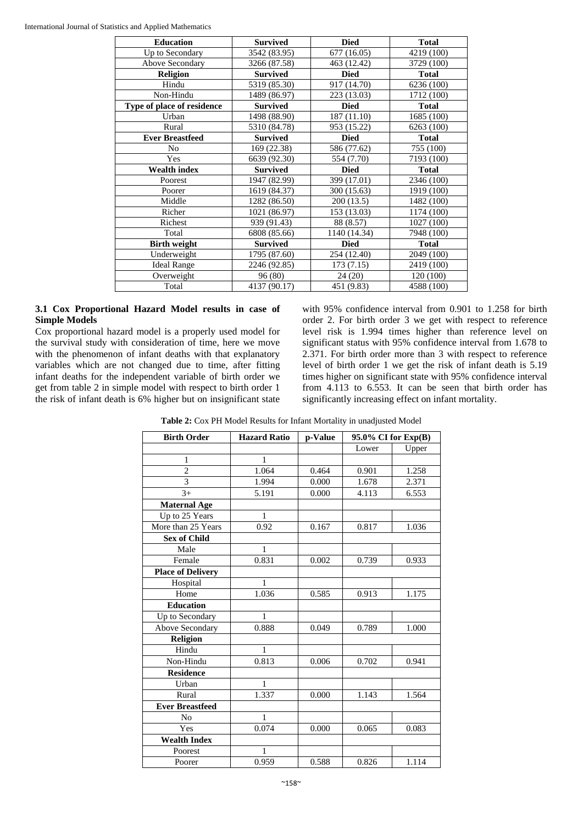| <b>Education</b>           | <b>Survived</b> | <b>Died</b>  | <b>Total</b> |  |
|----------------------------|-----------------|--------------|--------------|--|
| Up to Secondary            | 3542 (83.95)    | 677 (16.05)  | 4219 (100)   |  |
| Above Secondary            | 3266 (87.58)    | 463 (12.42)  | 3729 (100)   |  |
| <b>Religion</b>            | <b>Survived</b> | <b>Died</b>  | <b>Total</b> |  |
| Hindu                      | 5319 (85.30)    | 917 (14.70)  | 6236 (100)   |  |
| Non-Hindu                  | 1489 (86.97)    | 223 (13.03)  | 1712 (100)   |  |
| Type of place of residence | <b>Survived</b> | <b>Died</b>  | <b>Total</b> |  |
| Urban                      | 1498 (88.90)    | 187 (11.10)  | 1685 (100)   |  |
| Rural                      | 5310 (84.78)    | 953 (15.22)  | 6263 (100)   |  |
| <b>Ever Breastfeed</b>     | <b>Survived</b> | <b>Died</b>  | <b>Total</b> |  |
| No                         | 169 (22.38)     | 586 (77.62)  | 755 (100)    |  |
| Yes                        | 6639 (92.30)    | 554 (7.70)   | 7193 (100)   |  |
| <b>Wealth index</b>        | <b>Survived</b> | <b>Died</b>  | <b>Total</b> |  |
| Poorest                    | 1947 (82.99)    | 399 (17.01)  | 2346 (100)   |  |
| Poorer                     | 1619 (84.37)    | 300 (15.63)  | 1919 (100)   |  |
| Middle                     | 1282 (86.50)    | 200(13.5)    | 1482 (100)   |  |
| Richer                     | 1021 (86.97)    | 153 (13.03)  | 1174 (100)   |  |
| Richest                    | 939 (91.43)     | 88 (8.57)    | 1027 (100)   |  |
| Total                      | 6808 (85.66)    | 1140 (14.34) | 7948 (100)   |  |
| <b>Birth weight</b>        | <b>Survived</b> | <b>Died</b>  | <b>Total</b> |  |
| Underweight                | 1795 (87.60)    | 254 (12.40)  | 2049 (100)   |  |
| <b>Ideal Range</b>         | 2246 (92.85)    | 173(7.15)    | 2419 (100)   |  |
| Overweight                 | 96(80)          | 24(20)       | 120 (100)    |  |
| Total                      | 4137 (90.17)    | 451 (9.83)   | 4588 (100)   |  |

### **3.1 Cox Proportional Hazard Model results in case of Simple Models**

Cox proportional hazard model is a properly used model for the survival study with consideration of time, here we move with the phenomenon of infant deaths with that explanatory variables which are not changed due to time, after fitting infant deaths for the independent variable of birth order we get from table 2 in simple model with respect to birth order 1 the risk of infant death is 6% higher but on insignificant state with 95% confidence interval from 0.901 to 1.258 for birth order 2. For birth order 3 we get with respect to reference level risk is 1.994 times higher than reference level on significant status with 95% confidence interval from 1.678 to 2.371. For birth order more than 3 with respect to reference level of birth order 1 we get the risk of infant death is 5.19 times higher on significant state with 95% confidence interval from 4.113 to 6.553. It can be seen that birth order has significantly increasing effect on infant mortality.

| <b>Birth Order</b>       | <b>Hazard Ratio</b> | p-Value | 95.0% CI for Exp(B) |       |
|--------------------------|---------------------|---------|---------------------|-------|
|                          |                     |         | Lower               | Upper |
| 1                        | 1                   |         |                     |       |
| $\overline{2}$           | 1.064               | 0.464   | 0.901               | 1.258 |
| 3                        | 1.994               | 0.000   | 1.678               | 2.371 |
| $3+$                     | 5.191               | 0.000   | 4.113               | 6.553 |
| <b>Maternal Age</b>      |                     |         |                     |       |
| Up to 25 Years           | 1                   |         |                     |       |
| More than 25 Years       | 0.92                | 0.167   | 0.817               | 1.036 |
| <b>Sex of Child</b>      |                     |         |                     |       |
| Male                     | 1                   |         |                     |       |
| Female                   | 0.831               | 0.002   | 0.739               | 0.933 |
| <b>Place of Delivery</b> |                     |         |                     |       |
| Hospital                 | 1                   |         |                     |       |
| Home                     | 1.036               | 0.585   | 0.913               | 1.175 |
| <b>Education</b>         |                     |         |                     |       |
| Up to Secondary          | 1                   |         |                     |       |
| Above Secondary          | 0.888               | 0.049   | 0.789               | 1.000 |
| <b>Religion</b>          |                     |         |                     |       |
| Hindu                    | 1                   |         |                     |       |
| Non-Hindu                | 0.813               | 0.006   | 0.702               | 0.941 |
| <b>Residence</b>         |                     |         |                     |       |
| Urban                    | 1                   |         |                     |       |
| Rural                    | 1.337               | 0.000   | 1.143               | 1.564 |
| <b>Ever Breastfeed</b>   |                     |         |                     |       |
| N <sub>o</sub>           | 1                   |         |                     |       |
| Yes                      | 0.074               | 0.000   | 0.065               | 0.083 |
| <b>Wealth Index</b>      |                     |         |                     |       |
| Poorest                  | 1                   |         |                     |       |
| Poorer                   | 0.959               | 0.588   | 0.826               | 1.114 |

**Table 2:** Cox PH Model Results for Infant Mortality in unadjusted Model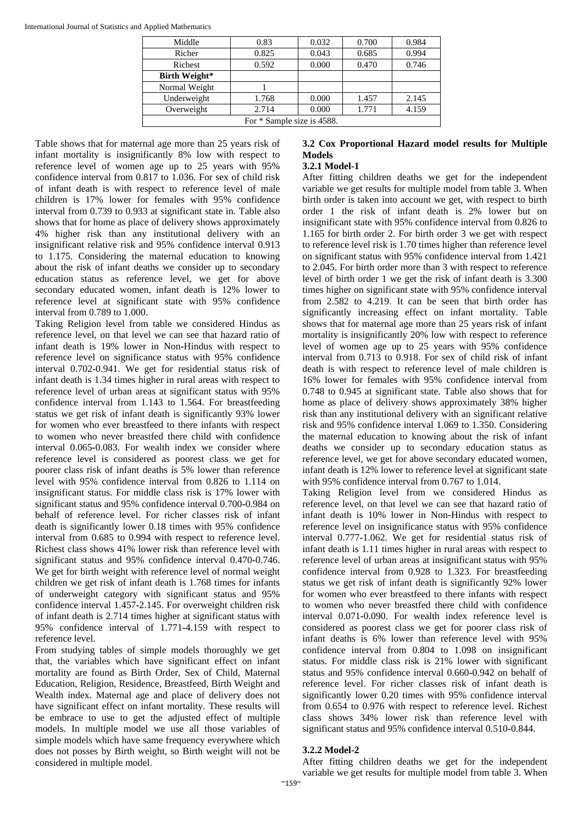| Middle                     | 0.83  | 0.032 | 0.700 | 0.984 |
|----------------------------|-------|-------|-------|-------|
| Richer                     | 0.825 | 0.043 | 0.685 | 0.994 |
| Richest                    | 0.592 | 0.000 | 0.470 | 0.746 |
| <b>Birth Weight*</b>       |       |       |       |       |
| Normal Weight              |       |       |       |       |
| Underweight                | 1.768 | 0.000 | 1.457 | 2.145 |
| Overweight                 | 2.714 | 0.000 | 1.771 | 4.159 |
| For * Sample size is 4588. |       |       |       |       |

Table shows that for maternal age more than 25 years risk of infant mortality is insignificantly 8% low with respect to reference level of women age up to 25 years with 95% confidence interval from 0.817 to 1.036. For sex of child risk of infant death is with respect to reference level of male children is 17% lower for females with 95% confidence interval from 0.739 to 0.933 at significant state in. Table also shows that for home as place of delivery shows approximately 4% higher risk than any institutional delivery with an insignificant relative risk and 95% confidence interval 0.913 to 1.175. Considering the maternal education to knowing about the risk of infant deaths we consider up to secondary education status as reference level, we get for above secondary educated women, infant death is 12% lower to reference level at significant state with 95% confidence interval from 0.789 to 1.000.

Taking Religion level from table we considered Hindus as reference level, on that level we can see that hazard ratio of infant death is 19% lower in Non**-**Hindus with respect to reference level on significance status with 95% confidence interval 0.702**-**0.941. We get for residential status risk of infant death is 1.34 times higher in rural areas with respect to reference level of urban areas at significant status with 95% confidence interval from 1.143 to 1.564. For breastfeeding status we get risk of infant death is significantly 93% lower for women who ever breastfeed to there infants with respect to women who never breastfed there child with confidence interval 0.065**-**0.083. For wealth index we consider where reference level is considered as poorest class we get for poorer class risk of infant deaths is 5% lower than reference level with 95% confidence interval from 0.826 to 1.114 on insignificant status. For middle class risk is 17% lower with significant status and 95% confidence interval 0.700**-**0.984 on behalf of reference level. For richer classes risk of infant death is significantly lower 0.18 times with 95% confidence interval from 0.685 to 0.994 with respect to reference level. Richest class shows 41% lower risk than reference level with significant status and 95% confidence interval 0.470**-**0.746. We get for birth weight with reference level of normal weight children we get risk of infant death is 1.768 times for infants of underweight category with significant status and 95% confidence interval 1.457**-**2.145. For overweight children risk of infant death is 2.714 times higher at significant status with 95% confidence interval of 1.771**-**4.159 with respect to reference level.

From studying tables of simple models thoroughly we get that, the variables which have significant effect on infant mortality are found as Birth Order, Sex of Child, Maternal Education, Religion, Residence, Breastfeed, Birth Weight and Wealth index. Maternal age and place of delivery does not have significant effect on infant mortality. These results will be embrace to use to get the adjusted effect of multiple models. In multiple model we use all those variables of simple models which have same frequency everywhere which does not posses by Birth weight, so Birth weight will not be considered in multiple model.

### **3.2 Cox Proportional Hazard model results for Multiple Models 3.2.1 Model-1**

## After fitting children deaths we get for the independent variable we get results for multiple model from table 3. When birth order is taken into account we get, with respect to birth order 1 the risk of infant death is 2% lower but on insignificant state with 95% confidence interval from 0.826 to 1.165 for birth order 2. For birth order 3 we get with respect to reference level risk is 1.70 times higher than reference level on significant status with 95% confidence interval from 1.421 to 2.045. For birth order more than 3 with respect to reference level of birth order 1 we get the risk of infant death is 3.300 times higher on significant state with 95% confidence interval from 2.582 to 4.219. It can be seen that birth order has significantly increasing effect on infant mortality. Table shows that for maternal age more than 25 years risk of infant mortality is insignificantly 20% low with respect to reference level of women age up to 25 years with 95% confidence interval from 0.713 to 0.918. For sex of child risk of infant death is with respect to reference level of male children is 16% lower for females with 95% confidence interval from 0.748 to 0.945 at significant state. Table also shows that for home as place of delivery shows approximately 38% higher risk than any institutional delivery with an significant relative risk and 95% confidence interval 1.069 to 1.350. Considering the maternal education to knowing about the risk of infant deaths we consider up to secondary education status as reference level, we get for above secondary educated women, infant death is 12% lower to reference level at significant state with 95% confidence interval from 0.767 to 1.014.

Taking Religion level from we considered Hindus as reference level, on that level we can see that hazard ratio of infant death is 10% lower in Non**-**Hindus with respect to reference level on insignificance status with 95% confidence interval 0.777**-**1.062. We get for residential status risk of infant death is 1.11 times higher in rural areas with respect to reference level of urban areas at insignificant status with 95% confidence interval from 0.928 to 1.323. For breastfeeding status we get risk of infant death is significantly 92% lower for women who ever breastfeed to there infants with respect to women who never breastfed there child with confidence interval 0.071**-**0.090. For wealth index reference level is considered as poorest class we get for poorer class risk of infant deaths is 6% lower than reference level with 95% confidence interval from 0.804 to 1.098 on insignificant status. For middle class risk is 21% lower with significant status and 95% confidence interval 0.660**-**0.942 on behalf of reference level. For richer classes risk of infant death is significantly lower 0.20 times with 95% confidence interval from 0.654 to 0.976 with respect to reference level. Richest class shows 34% lower risk than reference level with significant status and 95% confidence interval 0.510**-**0.844.

## **3.2.2 Model-2**

After fitting children deaths we get for the independent variable we get results for multiple model from table 3. When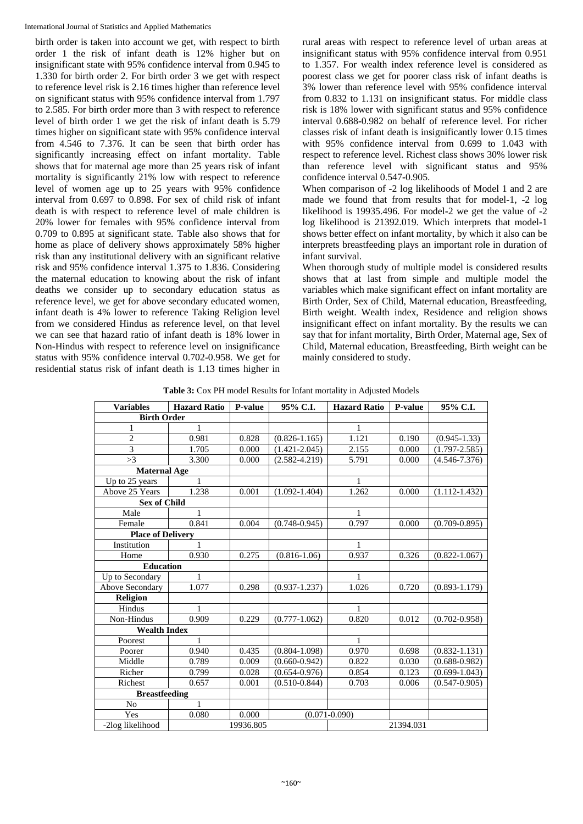International Journal of Statistics and Applied Mathematics

birth order is taken into account we get, with respect to birth order 1 the risk of infant death is 12% higher but on insignificant state with 95% confidence interval from 0.945 to 1.330 for birth order 2. For birth order 3 we get with respect to reference level risk is 2.16 times higher than reference level on significant status with 95% confidence interval from 1.797 to 2.585. For birth order more than 3 with respect to reference level of birth order 1 we get the risk of infant death is 5.79 times higher on significant state with 95% confidence interval from 4.546 to 7.376. It can be seen that birth order has significantly increasing effect on infant mortality. Table shows that for maternal age more than 25 years risk of infant mortality is significantly 21% low with respect to reference level of women age up to 25 years with 95% confidence interval from 0.697 to 0.898. For sex of child risk of infant death is with respect to reference level of male children is 20% lower for females with 95% confidence interval from 0.709 to 0.895 at significant state. Table also shows that for home as place of delivery shows approximately 58% higher risk than any institutional delivery with an significant relative risk and 95% confidence interval 1.375 to 1.836. Considering the maternal education to knowing about the risk of infant deaths we consider up to secondary education status as reference level, we get for above secondary educated women, infant death is 4% lower to reference Taking Religion level from we considered Hindus as reference level, on that level we can see that hazard ratio of infant death is 18% lower in Non**-**Hindus with respect to reference level on insignificance status with 95% confidence interval 0.702**-**0.958. We get for residential status risk of infant death is 1.13 times higher in

rural areas with respect to reference level of urban areas at insignificant status with 95% confidence interval from 0.951 to 1.357. For wealth index reference level is considered as poorest class we get for poorer class risk of infant deaths is 3% lower than reference level with 95% confidence interval from 0.832 to 1.131 on insignificant status. For middle class risk is 18% lower with significant status and 95% confidence interval 0.688**-**0.982 on behalf of reference level. For richer classes risk of infant death is insignificantly lower 0.15 times with 95% confidence interval from 0.699 to 1.043 with respect to reference level. Richest class shows 30% lower risk than reference level with significant status and 95% confidence interval 0.547**-**0.905.

When comparison of **-**2 log likelihoods of Model 1 and 2 are made we found that from results that for model**-**1, **-**2 log likelihood is 19935.496. For model**-**2 we get the value of **-**2 log likelihood is 21392.019. Which interprets that model**-**1 shows better effect on infant mortality, by which it also can be interprets breastfeeding plays an important role in duration of infant survival.

When thorough study of multiple model is considered results shows that at last from simple and multiple model the variables which make significant effect on infant mortality are Birth Order, Sex of Child, Maternal education, Breastfeeding, Birth weight. Wealth index, Residence and religion shows insignificant effect on infant mortality. By the results we can say that for infant mortality, Birth Order, Maternal age, Sex of Child, Maternal education, Breastfeeding, Birth weight can be mainly considered to study.

**Table 3:** Cox PH model Results for Infant mortality in Adjusted Models

| <b>Variables</b>         | <b>Hazard Ratio</b> | P-value   | 95% C.I.          | <b>Hazard Ratio</b> | <b>P-value</b> | 95% C.I.          |
|--------------------------|---------------------|-----------|-------------------|---------------------|----------------|-------------------|
| <b>Birth Order</b>       |                     |           |                   |                     |                |                   |
| 1                        | 1                   |           |                   | 1                   |                |                   |
| $\overline{2}$           | 0.981               | 0.828     | $(0.826 - 1.165)$ | 1.121               | 0.190          | $(0.945 - 1.33)$  |
| 3                        | 1.705               | 0.000     | $(1.421 - 2.045)$ | 2.155               | 0.000          | $(1.797 - 2.585)$ |
| >3                       | 3.300               | 0.000     | $(2.582 - 4.219)$ | 5.791               | 0.000          | $(4.546 - 7.376)$ |
| <b>Maternal Age</b>      |                     |           |                   |                     |                |                   |
| Up to 25 years           | 1                   |           |                   | 1                   |                |                   |
| Above 25 Years           | 1.238               | 0.001     | $(1.092 - 1.404)$ | 1.262               | 0.000          | $(1.112 - 1.432)$ |
| <b>Sex of Child</b>      |                     |           |                   |                     |                |                   |
| Male                     | 1                   |           |                   |                     |                |                   |
| Female                   | 0.841               | 0.004     | $(0.748 - 0.945)$ | 0.797               | 0.000          | $(0.709 - 0.895)$ |
| <b>Place of Delivery</b> |                     |           |                   |                     |                |                   |
| Institution              | 1                   |           |                   | 1                   |                |                   |
| Home                     | 0.930               | 0.275     | $(0.816 - 1.06)$  | 0.937               | 0.326          | $(0.822 - 1.067)$ |
| <b>Education</b>         |                     |           |                   |                     |                |                   |
| Up to Secondary          | 1                   |           |                   | 1                   |                |                   |
| <b>Above Secondary</b>   | 1.077               | 0.298     | $(0.937 - 1.237)$ | 1.026               | 0.720          | $(0.893 - 1.179)$ |
| <b>Religion</b>          |                     |           |                   |                     |                |                   |
| Hindus                   | $\mathbf{1}$        |           |                   | 1                   |                |                   |
| Non-Hindus               | 0.909               | 0.229     | $(0.777 - 1.062)$ | 0.820               | 0.012          | $(0.702 - 0.958)$ |
| <b>Wealth Index</b>      |                     |           |                   |                     |                |                   |
| Poorest                  | 1                   |           |                   | 1                   |                |                   |
| Poorer                   | 0.940               | 0.435     | $(0.804 - 1.098)$ | 0.970               | 0.698          | $(0.832 - 1.131)$ |
| Middle                   | 0.789               | 0.009     | $(0.660 - 0.942)$ | 0.822               | 0.030          | $(0.688 - 0.982)$ |
| Richer                   | 0.799               | 0.028     | $(0.654 - 0.976)$ | 0.854               | 0.123          | $(0.699 - 1.043)$ |
| Richest                  | 0.657               | 0.001     | $(0.510 - 0.844)$ | 0.703               | 0.006          | $(0.547 - 0.905)$ |
| <b>Breastfeeding</b>     |                     |           |                   |                     |                |                   |
| N <sub>o</sub>           | $\mathbf{1}$        |           |                   |                     |                |                   |
| Yes                      | 0.080               | 0.000     |                   | $(0.071 - 0.090)$   |                |                   |
| -2log likelihood         |                     | 19936.805 | 21394.031         |                     |                |                   |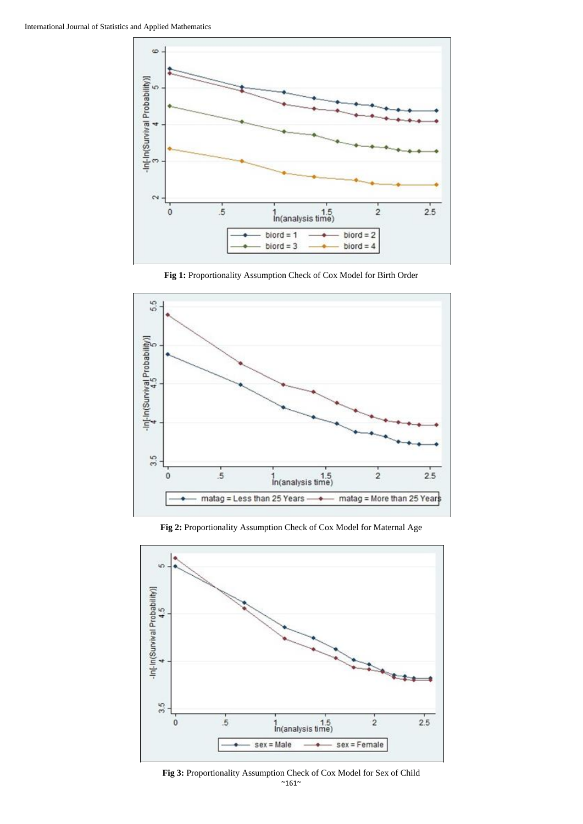

**Fig 1:** Proportionality Assumption Check of Cox Model for Birth Order



**Fig 2:** Proportionality Assumption Check of Cox Model for Maternal Age



 $~^{\sim}$ 161 $^{\sim}$ **Fig 3:** Proportionality Assumption Check of Cox Model for Sex of Child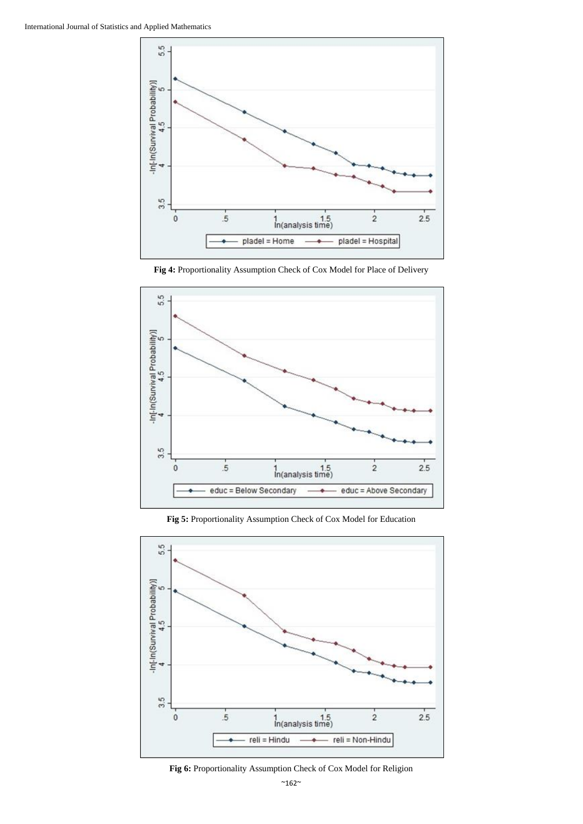





**Fig 5:** Proportionality Assumption Check of Cox Model for Education



**Fig 6:** Proportionality Assumption Check of Cox Model for Religion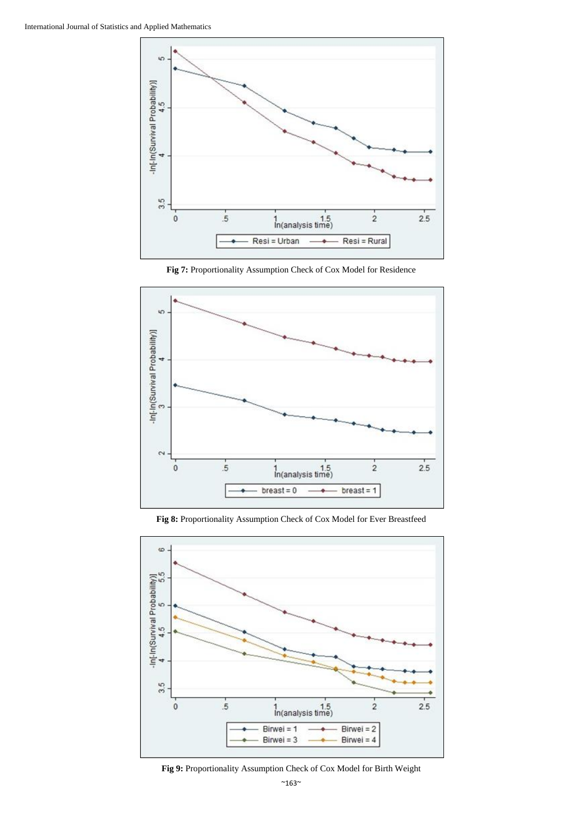

**Fig 7:** Proportionality Assumption Check of Cox Model for Residence



**Fig 8:** Proportionality Assumption Check of Cox Model for Ever Breastfeed



**Fig 9:** Proportionality Assumption Check of Cox Model for Birth Weight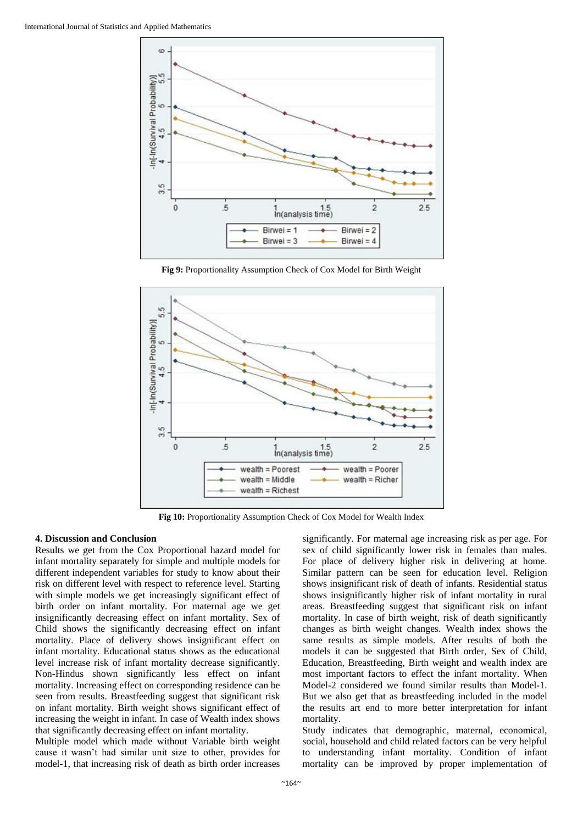

**Fig 9:** Proportionality Assumption Check of Cox Model for Birth Weight



**Fig 10:** Proportionality Assumption Check of Cox Model for Wealth Index

#### **4. Discussion and Conclusion**

Results we get from the Cox Proportional hazard model for infant mortality separately for simple and multiple models for different independent variables for study to know about their risk on different level with respect to reference level. Starting with simple models we get increasingly significant effect of birth order on infant mortality. For maternal age we get insignificantly decreasing effect on infant mortality. Sex of Child shows the significantly decreasing effect on infant mortality. Place of delivery shows insignificant effect on infant mortality. Educational status shows as the educational level increase risk of infant mortality decrease significantly. Non**-**Hindus shown significantly less effect on infant mortality. Increasing effect on corresponding residence can be seen from results. Breastfeeding suggest that significant risk on infant mortality. Birth weight shows significant effect of increasing the weight in infant. In case of Wealth index shows that significantly decreasing effect on infant mortality.

Multiple model which made without Variable birth weight cause it wasn't had similar unit size to other, provides for model**-**1, that increasing risk of death as birth order increases

significantly. For maternal age increasing risk as per age. For sex of child significantly lower risk in females than males. For place of delivery higher risk in delivering at home. Similar pattern can be seen for education level. Religion shows insignificant risk of death of infants. Residential status shows insignificantly higher risk of infant mortality in rural areas. Breastfeeding suggest that significant risk on infant mortality. In case of birth weight, risk of death significantly changes as birth weight changes. Wealth index shows the same results as simple models. After results of both the models it can be suggested that Birth order, Sex of Child, Education, Breastfeeding, Birth weight and wealth index are most important factors to effect the infant mortality. When Model**-**2 considered we found similar results than Model**-**1. But we also get that as breastfeeding included in the model the results art end to more better interpretation for infant mortality.

Study indicates that demographic, maternal, economical, social, household and child related factors can be very helpful to understanding infant mortality. Condition of infant mortality can be improved by proper implementation of